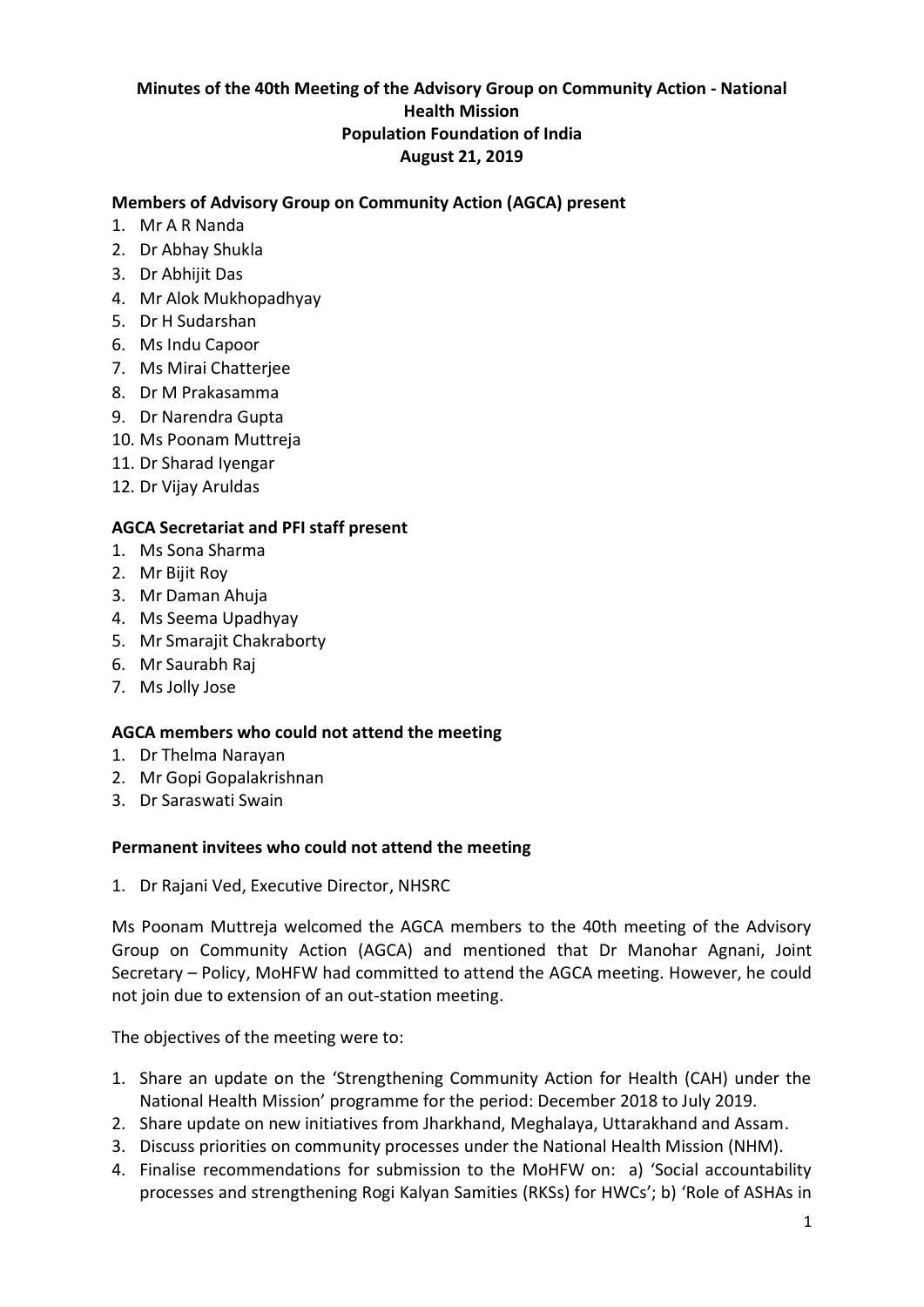## **Minutes of the 40th Meeting of the Advisory Group on Community Action - National Health Mission Population Foundation of India August 21, 2019**

## **Members of Advisory Group on Community Action (AGCA) present**

- 1. Mr A R Nanda
- 2. Dr Abhay Shukla
- 3. Dr Abhijit Das
- 4. Mr Alok Mukhopadhyay
- 5. Dr H Sudarshan
- 6. Ms Indu Capoor
- 7. Ms Mirai Chatterjee
- 8. Dr M Prakasamma
- 9. Dr Narendra Gupta
- 10. Ms Poonam Muttreja
- 11. Dr Sharad Iyengar
- 12. Dr Vijay Aruldas

#### **AGCA Secretariat and PFI staff present**

- 1. Ms Sona Sharma
- 2. Mr Bijit Roy
- 3. Mr Daman Ahuja
- 4. Ms Seema Upadhyay
- 5. Mr Smarajit Chakraborty
- 6. Mr Saurabh Raj
- 7. Ms Jolly Jose

#### **AGCA members who could not attend the meeting**

- 1. Dr Thelma Narayan
- 2. Mr Gopi Gopalakrishnan
- 3. Dr Saraswati Swain

#### **Permanent invitees who could not attend the meeting**

1. Dr Rajani Ved, Executive Director, NHSRC

Ms Poonam Muttreja welcomed the AGCA members to the 40th meeting of the Advisory Group on Community Action (AGCA) and mentioned that Dr Manohar Agnani, Joint Secretary – Policy, MoHFW had committed to attend the AGCA meeting. However, he could not join due to extension of an out-station meeting.

The objectives of the meeting were to:

- 1. Share an update on the 'Strengthening Community Action for Health (CAH) under the National Health Mission' programme for the period: December 2018 to July 2019.
- 2. Share update on new initiatives from Jharkhand, Meghalaya, Uttarakhand and Assam.
- 3. Discuss priorities on community processes under the National Health Mission (NHM).
- 4. Finalise recommendations for submission to the MoHFW on: a) 'Social accountability processes and strengthening Rogi Kalyan Samities (RKSs) for HWCs'; b) 'Role of ASHAs in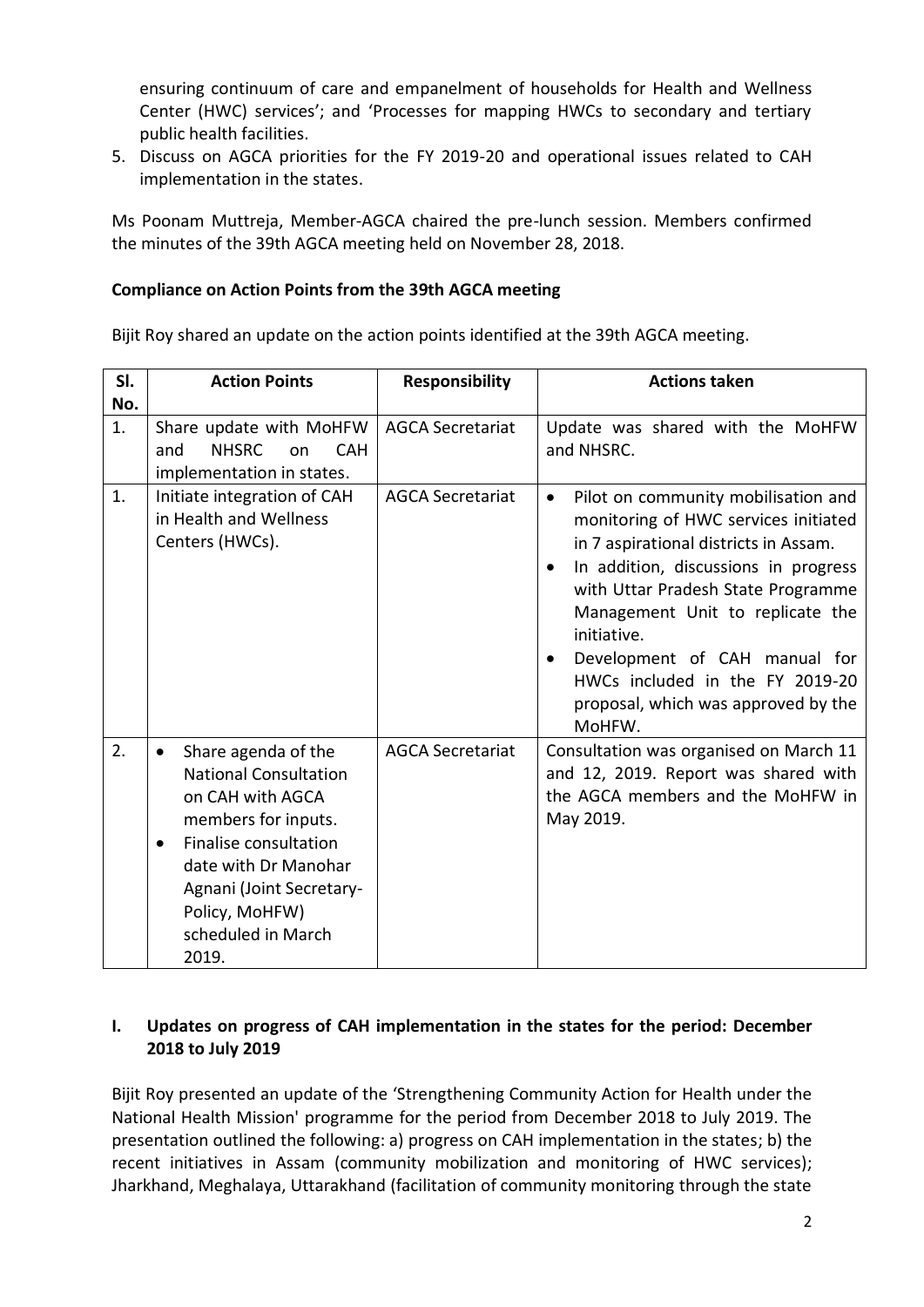ensuring continuum of care and empanelment of households for Health and Wellness Center (HWC) services'; and 'Processes for mapping HWCs to secondary and tertiary public health facilities.

5. Discuss on AGCA priorities for the FY 2019-20 and operational issues related to CAH implementation in the states.

Ms Poonam Muttreja, Member-AGCA chaired the pre-lunch session. Members confirmed the minutes of the 39th AGCA meeting held on November 28, 2018.

#### **Compliance on Action Points from the 39th AGCA meeting**

Bijit Roy shared an update on the action points identified at the 39th AGCA meeting.

| SI.       | <b>Action Points</b>                                                                                                                                                                                                                                   | <b>Responsibility</b>   | <b>Actions taken</b>                                                                                                                                                                                                                                                                                                                                                                                 |
|-----------|--------------------------------------------------------------------------------------------------------------------------------------------------------------------------------------------------------------------------------------------------------|-------------------------|------------------------------------------------------------------------------------------------------------------------------------------------------------------------------------------------------------------------------------------------------------------------------------------------------------------------------------------------------------------------------------------------------|
| No.<br>1. | Share update with MoHFW<br><b>NHSRC</b><br><b>CAH</b><br>and<br>on<br>implementation in states.                                                                                                                                                        | <b>AGCA Secretariat</b> | Update was shared with the MoHFW<br>and NHSRC.                                                                                                                                                                                                                                                                                                                                                       |
| 1.        | Initiate integration of CAH<br>in Health and Wellness<br>Centers (HWCs).                                                                                                                                                                               | <b>AGCA Secretariat</b> | Pilot on community mobilisation and<br>$\bullet$<br>monitoring of HWC services initiated<br>in 7 aspirational districts in Assam.<br>In addition, discussions in progress<br>with Uttar Pradesh State Programme<br>Management Unit to replicate the<br>initiative.<br>Development of CAH manual for<br>$\bullet$<br>HWCs included in the FY 2019-20<br>proposal, which was approved by the<br>MoHFW. |
| 2.        | Share agenda of the<br>$\bullet$<br><b>National Consultation</b><br>on CAH with AGCA<br>members for inputs.<br>Finalise consultation<br>$\bullet$<br>date with Dr Manohar<br>Agnani (Joint Secretary-<br>Policy, MoHFW)<br>scheduled in March<br>2019. | <b>AGCA Secretariat</b> | Consultation was organised on March 11<br>and 12, 2019. Report was shared with<br>the AGCA members and the MoHFW in<br>May 2019.                                                                                                                                                                                                                                                                     |

## **I. Updates on progress of CAH implementation in the states for the period: December 2018 to July 2019**

Bijit Roy presented an update of the 'Strengthening Community Action for Health under the National Health Mission' programme for the period from December 2018 to July 2019. The presentation outlined the following: a) progress on CAH implementation in the states; b) the recent initiatives in Assam (community mobilization and monitoring of HWC services); Jharkhand, Meghalaya, Uttarakhand (facilitation of community monitoring through the state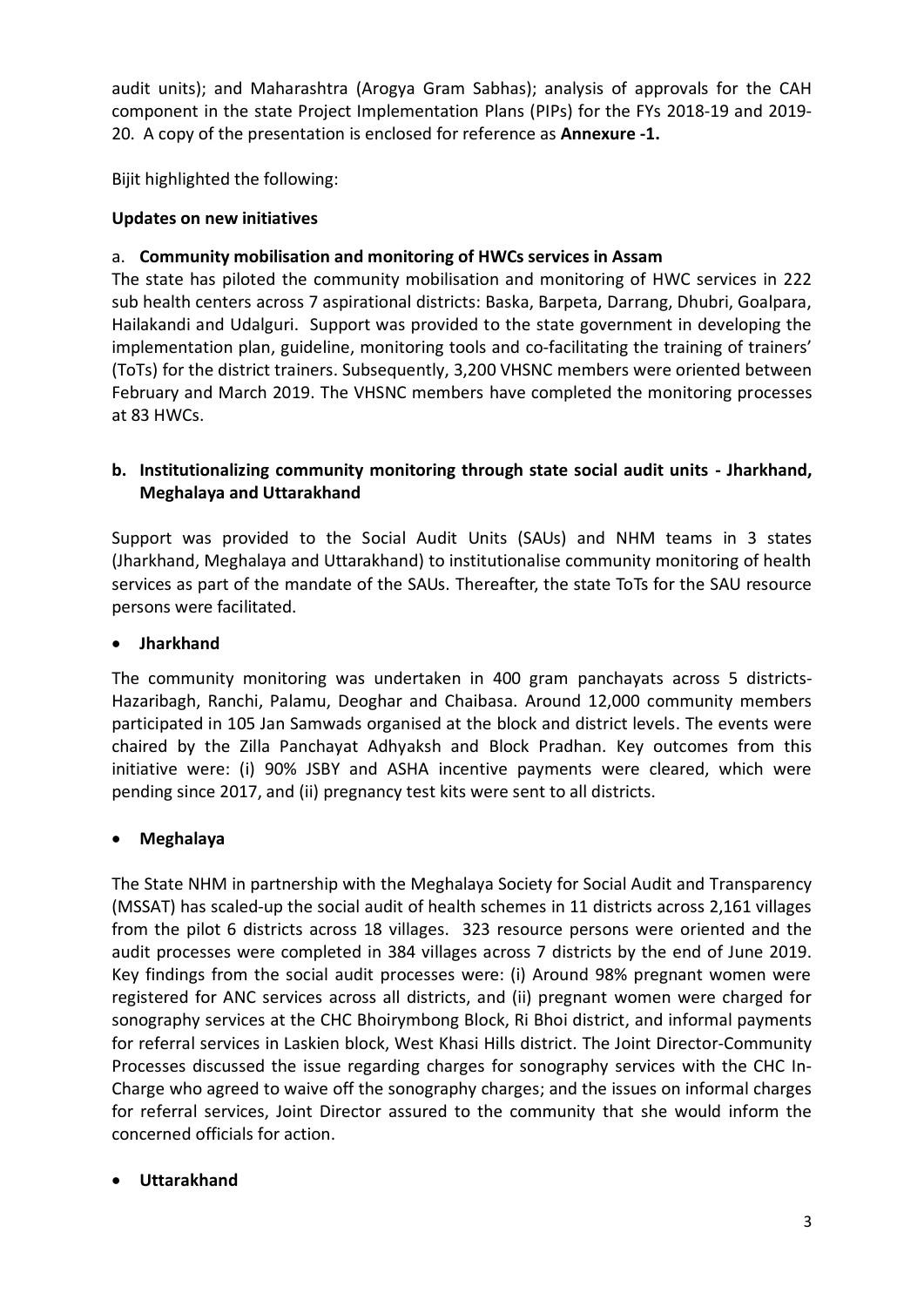audit units); and Maharashtra (Arogya Gram Sabhas); analysis of approvals for the CAH component in the state Project Implementation Plans (PIPs) for the FYs 2018-19 and 2019- 20. A copy of the presentation is enclosed for reference as **Annexure -1.**

Bijit highlighted the following:

## **Updates on new initiatives**

## a. **Community mobilisation and monitoring of HWCs services in Assam**

The state has piloted the community mobilisation and monitoring of HWC services in 222 sub health centers across 7 aspirational districts: Baska, Barpeta, Darrang, Dhubri, Goalpara, Hailakandi and Udalguri. Support was provided to the state government in developing the implementation plan, guideline, monitoring tools and co-facilitating the training of trainers' (ToTs) for the district trainers. Subsequently, 3,200 VHSNC members were oriented between February and March 2019. The VHSNC members have completed the monitoring processes at 83 HWCs.

# **b. Institutionalizing community monitoring through state social audit units - Jharkhand, Meghalaya and Uttarakhand**

Support was provided to the Social Audit Units (SAUs) and NHM teams in 3 states (Jharkhand, Meghalaya and Uttarakhand) to institutionalise community monitoring of health services as part of the mandate of the SAUs. Thereafter, the state ToTs for the SAU resource persons were facilitated.

## **Jharkhand**

The community monitoring was undertaken in 400 gram panchayats across 5 districts-Hazaribagh, Ranchi, Palamu, Deoghar and Chaibasa. Around 12,000 community members participated in 105 Jan Samwads organised at the block and district levels. The events were chaired by the Zilla Panchayat Adhyaksh and Block Pradhan. Key outcomes from this initiative were: (i) 90% JSBY and ASHA incentive payments were cleared, which were pending since 2017, and (ii) pregnancy test kits were sent to all districts.

## **Meghalaya**

The State NHM in partnership with the Meghalaya Society for Social Audit and Transparency (MSSAT) has scaled-up the social audit of health schemes in 11 districts across 2,161 villages from the pilot 6 districts across 18 villages. 323 resource persons were oriented and the audit processes were completed in 384 villages across 7 districts by the end of June 2019. Key findings from the social audit processes were: (i) Around 98% pregnant women were registered for ANC services across all districts, and (ii) pregnant women were charged for sonography services at the CHC Bhoirymbong Block, Ri Bhoi district, and informal payments for referral services in Laskien block, West Khasi Hills district. The Joint Director-Community Processes discussed the issue regarding charges for sonography services with the CHC In-Charge who agreed to waive off the sonography charges; and the issues on informal charges for referral services, Joint Director assured to the community that she would inform the concerned officials for action.

## **Uttarakhand**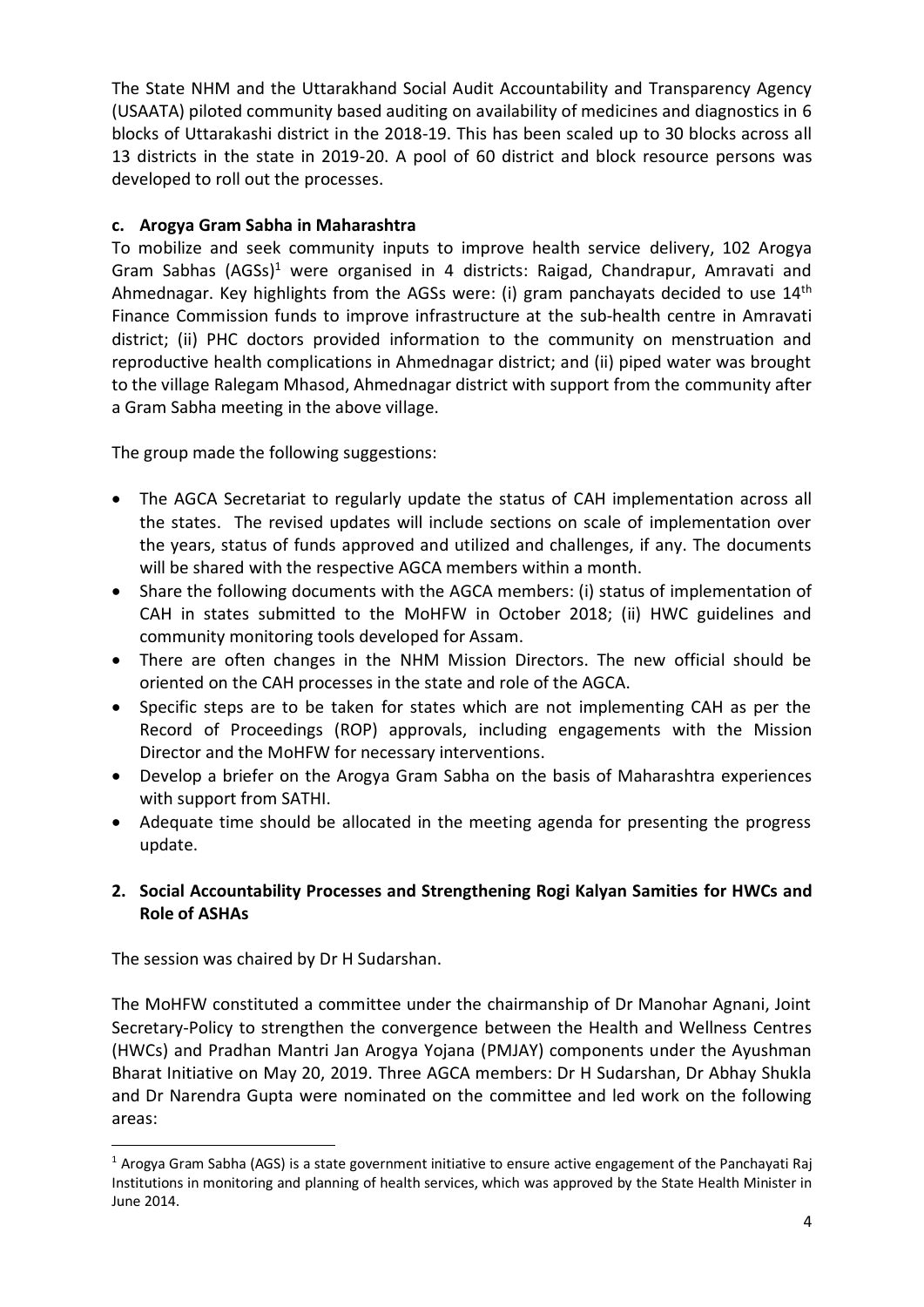The State NHM and the Uttarakhand Social Audit Accountability and Transparency Agency (USAATA) piloted community based auditing on availability of medicines and diagnostics in 6 blocks of Uttarakashi district in the 2018-19. This has been scaled up to 30 blocks across all 13 districts in the state in 2019-20. A pool of 60 district and block resource persons was developed to roll out the processes.

# **c. Arogya Gram Sabha in Maharashtra**

To mobilize and seek community inputs to improve health service delivery, 102 Arogya Gram Sabhas (AGSs) <sup>1</sup> were organised in 4 districts: Raigad, Chandrapur, Amravati and Ahmednagar. Key highlights from the AGSs were: (i) gram panchayats decided to use 14<sup>th</sup> Finance Commission funds to improve infrastructure at the sub-health centre in Amravati district; (ii) PHC doctors provided information to the community on menstruation and reproductive health complications in Ahmednagar district; and (ii) piped water was brought to the village Ralegam Mhasod, Ahmednagar district with support from the community after a Gram Sabha meeting in the above village.

The group made the following suggestions:

- The AGCA Secretariat to regularly update the status of CAH implementation across all the states. The revised updates will include sections on scale of implementation over the years, status of funds approved and utilized and challenges, if any. The documents will be shared with the respective AGCA members within a month.
- Share the following documents with the AGCA members: (i) status of implementation of CAH in states submitted to the MoHFW in October 2018; (ii) HWC guidelines and community monitoring tools developed for Assam.
- There are often changes in the NHM Mission Directors. The new official should be oriented on the CAH processes in the state and role of the AGCA.
- Specific steps are to be taken for states which are not implementing CAH as per the Record of Proceedings (ROP) approvals, including engagements with the Mission Director and the MoHFW for necessary interventions.
- Develop a briefer on the Arogya Gram Sabha on the basis of Maharashtra experiences with support from SATHI.
- Adequate time should be allocated in the meeting agenda for presenting the progress update.

# **2. Social Accountability Processes and Strengthening Rogi Kalyan Samities for HWCs and Role of ASHAs**

The session was chaired by Dr H Sudarshan.

-

The MoHFW constituted a committee under the chairmanship of Dr Manohar Agnani, Joint Secretary-Policy to strengthen the convergence between the Health and Wellness Centres (HWCs) and Pradhan Mantri Jan Arogya Yojana (PMJAY) components under the Ayushman Bharat Initiative on May 20, 2019. Three AGCA members: Dr H Sudarshan, Dr Abhay Shukla and Dr Narendra Gupta were nominated on the committee and led work on the following areas:

<sup>1</sup> Arogya Gram Sabha (AGS) is a state government initiative to ensure active engagement of the Panchayati Raj Institutions in monitoring and planning of health services, which was approved by the State Health Minister in June 2014.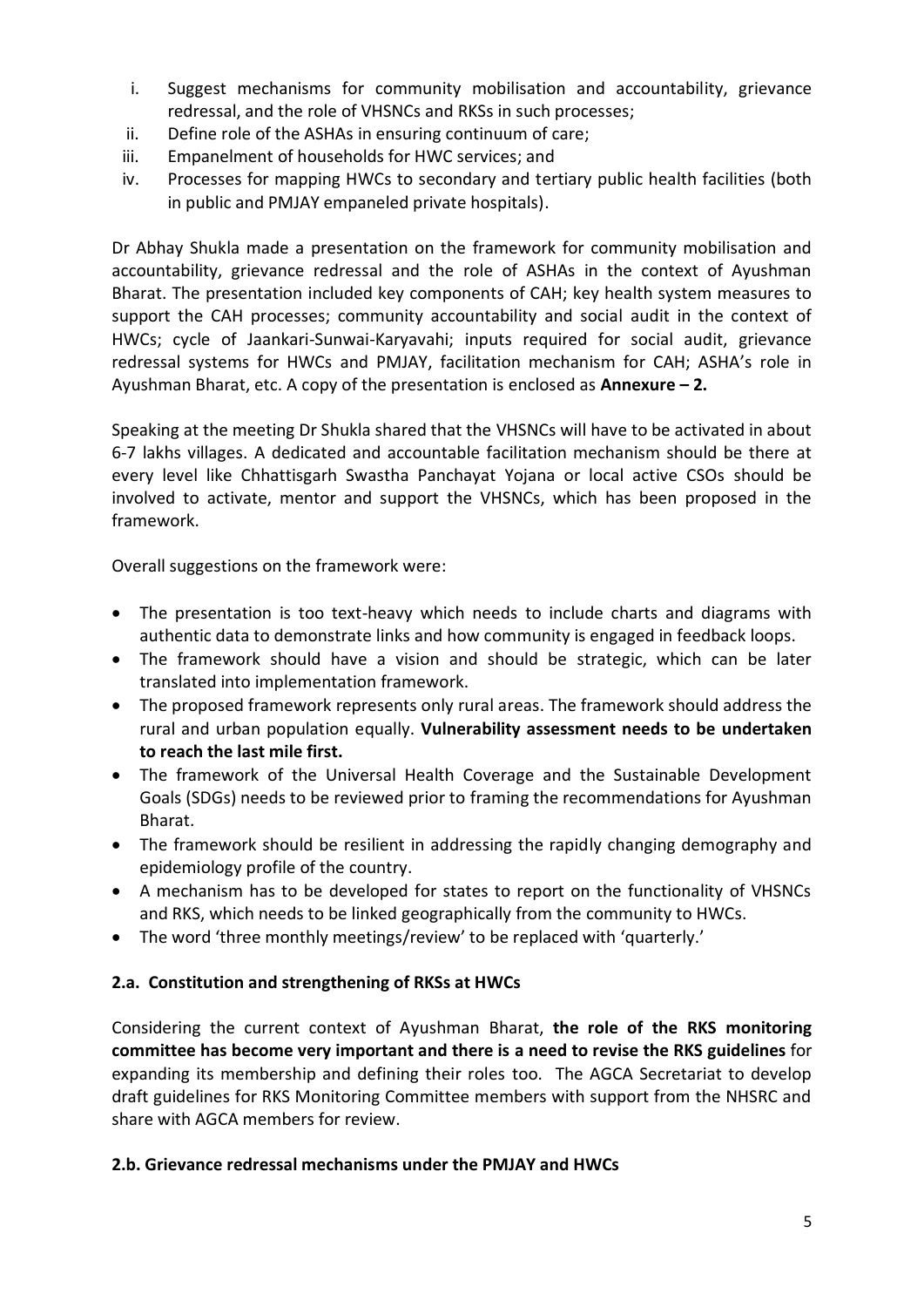- i. Suggest mechanisms for community mobilisation and accountability, grievance redressal, and the role of VHSNCs and RKSs in such processes;
- ii. Define role of the ASHAs in ensuring continuum of care;
- iii. Empanelment of households for HWC services; and
- iv. Processes for mapping HWCs to secondary and tertiary public health facilities (both in public and PMJAY empaneled private hospitals).

Dr Abhay Shukla made a presentation on the framework for community mobilisation and accountability, grievance redressal and the role of ASHAs in the context of Ayushman Bharat. The presentation included key components of CAH; key health system measures to support the CAH processes; community accountability and social audit in the context of HWCs; cycle of Jaankari-Sunwai-Karyavahi; inputs required for social audit, grievance redressal systems for HWCs and PMJAY, facilitation mechanism for CAH; ASHA's role in Ayushman Bharat, etc. A copy of the presentation is enclosed as **Annexure – 2.**

Speaking at the meeting Dr Shukla shared that the VHSNCs will have to be activated in about 6-7 lakhs villages. A dedicated and accountable facilitation mechanism should be there at every level like Chhattisgarh Swastha Panchayat Yojana or local active CSOs should be involved to activate, mentor and support the VHSNCs, which has been proposed in the framework.

Overall suggestions on the framework were:

- The presentation is too text-heavy which needs to include charts and diagrams with authentic data to demonstrate links and how community is engaged in feedback loops.
- The framework should have a vision and should be strategic, which can be later translated into implementation framework.
- The proposed framework represents only rural areas. The framework should address the rural and urban population equally. **Vulnerability assessment needs to be undertaken to reach the last mile first.**
- The framework of the Universal Health Coverage and the Sustainable Development Goals (SDGs) needs to be reviewed prior to framing the recommendations for Ayushman Bharat.
- The framework should be resilient in addressing the rapidly changing demography and epidemiology profile of the country.
- A mechanism has to be developed for states to report on the functionality of VHSNCs and RKS, which needs to be linked geographically from the community to HWCs.
- The word 'three monthly meetings/review' to be replaced with 'quarterly.'

## **2.a. Constitution and strengthening of RKSs at HWCs**

Considering the current context of Ayushman Bharat, **the role of the RKS monitoring committee has become very important and there is a need to revise the RKS guidelines** for expanding its membership and defining their roles too. The AGCA Secretariat to develop draft guidelines for RKS Monitoring Committee members with support from the NHSRC and share with AGCA members for review.

#### **2.b. Grievance redressal mechanisms under the PMJAY and HWCs**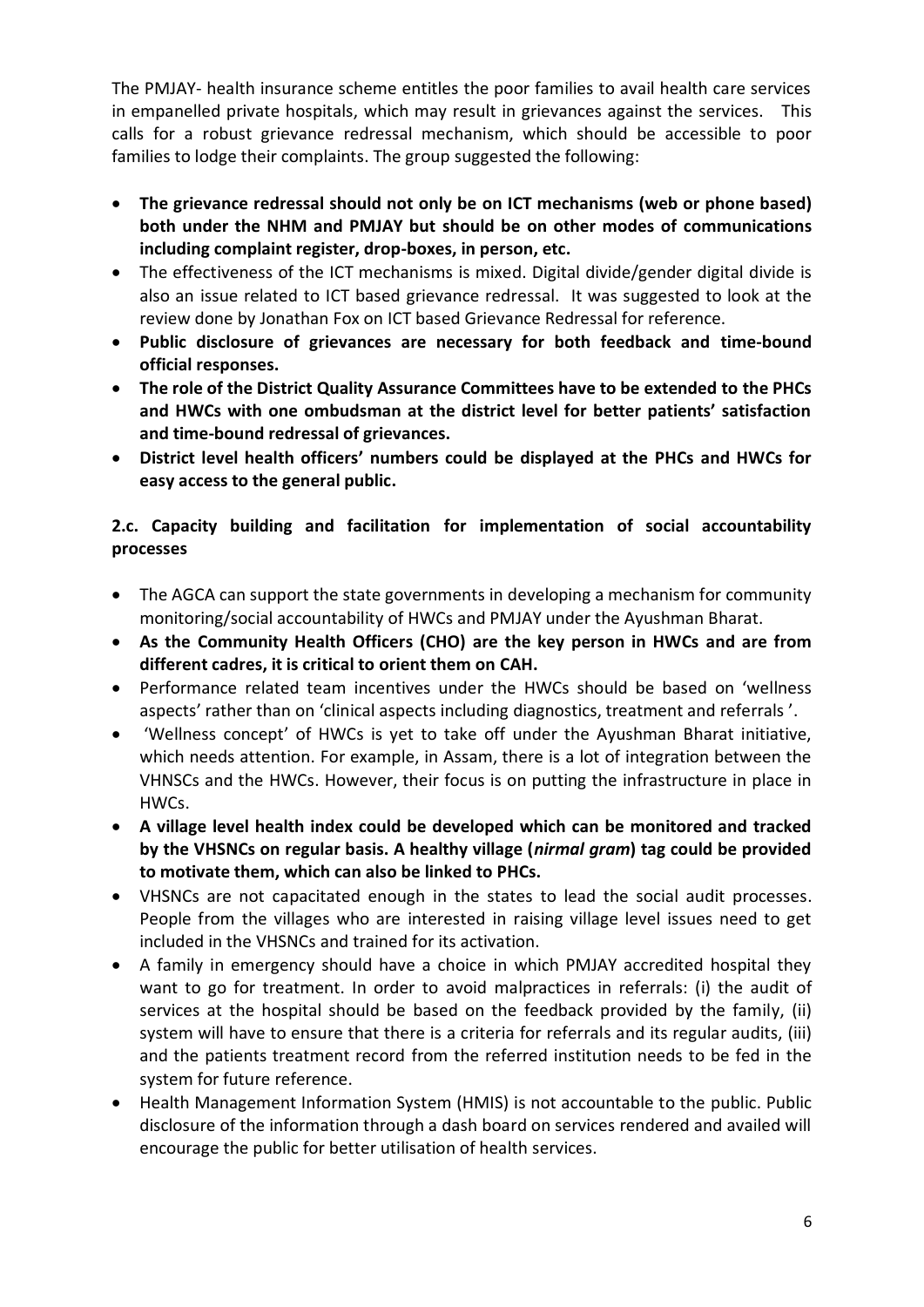The PMJAY- health insurance scheme entitles the poor families to avail health care services in empanelled private hospitals, which may result in grievances against the services. This calls for a robust grievance redressal mechanism, which should be accessible to poor families to lodge their complaints. The group suggested the following:

- **The grievance redressal should not only be on ICT mechanisms (web or phone based) both under the NHM and PMJAY but should be on other modes of communications including complaint register, drop-boxes, in person, etc.**
- The effectiveness of the ICT mechanisms is mixed. Digital divide/gender digital divide is also an issue related to ICT based grievance redressal. It was suggested to look at the review done by Jonathan Fox on ICT based Grievance Redressal for reference.
- **Public disclosure of grievances are necessary for both feedback and time-bound official responses.**
- **The role of the District Quality Assurance Committees have to be extended to the PHCs and HWCs with one ombudsman at the district level for better patients' satisfaction and time-bound redressal of grievances.**
- **District level health officers' numbers could be displayed at the PHCs and HWCs for easy access to the general public.**

# **2.c. Capacity building and facilitation for implementation of social accountability processes**

- The AGCA can support the state governments in developing a mechanism for community monitoring/social accountability of HWCs and PMJAY under the Ayushman Bharat.
- **As the Community Health Officers (CHO) are the key person in HWCs and are from different cadres, it is critical to orient them on CAH.**
- Performance related team incentives under the HWCs should be based on 'wellness aspects' rather than on 'clinical aspects including diagnostics, treatment and referrals '.
- 'Wellness concept' of HWCs is yet to take off under the Ayushman Bharat initiative, which needs attention. For example, in Assam, there is a lot of integration between the VHNSCs and the HWCs. However, their focus is on putting the infrastructure in place in HWCs.
- **A village level health index could be developed which can be monitored and tracked by the VHSNCs on regular basis. A healthy village (***nirmal gram***) tag could be provided to motivate them, which can also be linked to PHCs.**
- VHSNCs are not capacitated enough in the states to lead the social audit processes. People from the villages who are interested in raising village level issues need to get included in the VHSNCs and trained for its activation.
- A family in emergency should have a choice in which PMJAY accredited hospital they want to go for treatment. In order to avoid malpractices in referrals: (i) the audit of services at the hospital should be based on the feedback provided by the family, (ii) system will have to ensure that there is a criteria for referrals and its regular audits, (iii) and the patients treatment record from the referred institution needs to be fed in the system for future reference.
- Health Management Information System (HMIS) is not accountable to the public. Public disclosure of the information through a dash board on services rendered and availed will encourage the public for better utilisation of health services.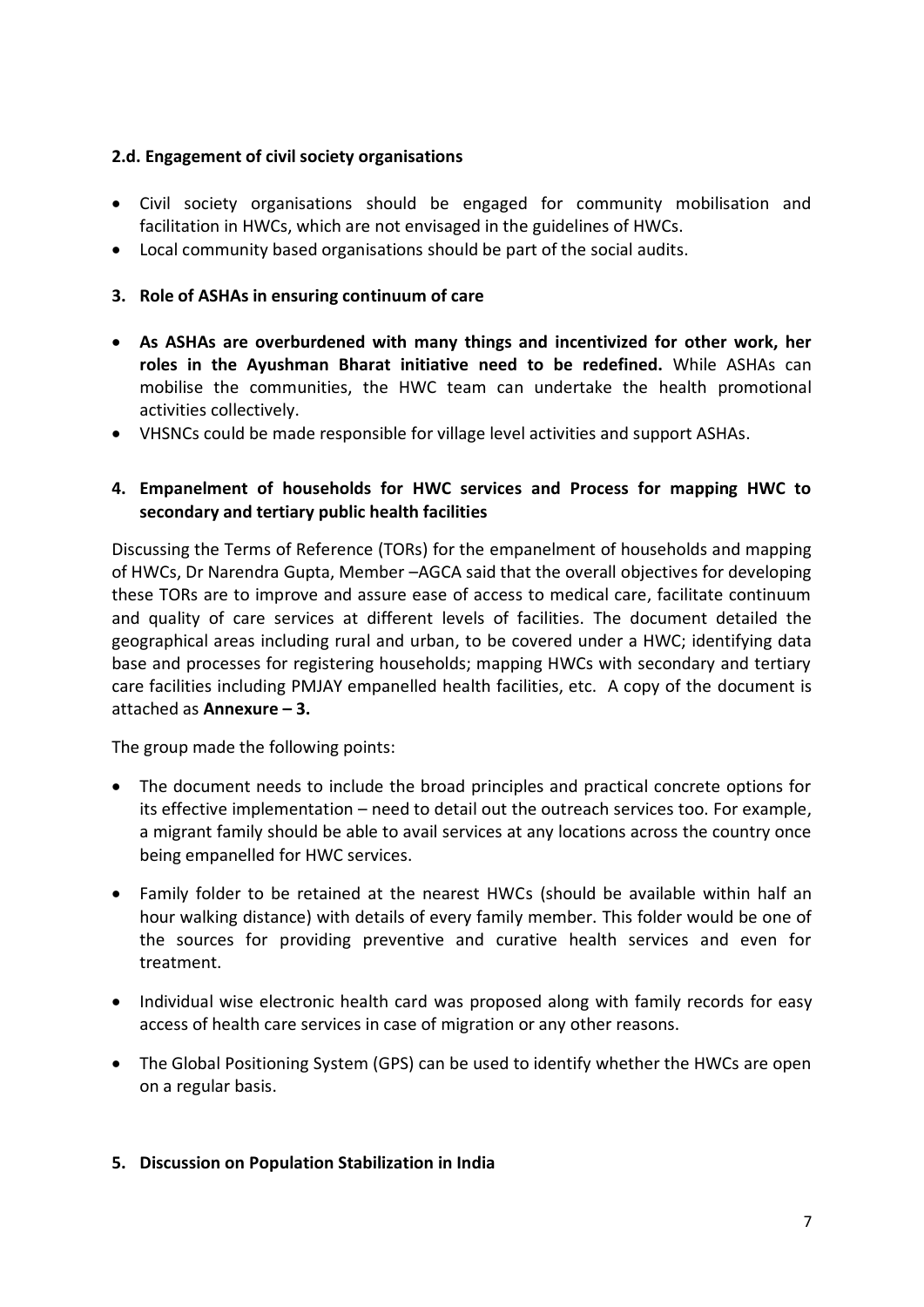## **2.d. Engagement of civil society organisations**

- Civil society organisations should be engaged for community mobilisation and facilitation in HWCs, which are not envisaged in the guidelines of HWCs.
- Local community based organisations should be part of the social audits.

## **3. Role of ASHAs in ensuring continuum of care**

- **As ASHAs are overburdened with many things and incentivized for other work, her roles in the Ayushman Bharat initiative need to be redefined.** While ASHAs can mobilise the communities, the HWC team can undertake the health promotional activities collectively.
- VHSNCs could be made responsible for village level activities and support ASHAs.

# **4. Empanelment of households for HWC services and Process for mapping HWC to secondary and tertiary public health facilities**

Discussing the Terms of Reference (TORs) for the empanelment of households and mapping of HWCs, Dr Narendra Gupta, Member –AGCA said that the overall objectives for developing these TORs are to improve and assure ease of access to medical care, facilitate continuum and quality of care services at different levels of facilities. The document detailed the geographical areas including rural and urban, to be covered under a HWC; identifying data base and processes for registering households; mapping HWCs with secondary and tertiary care facilities including PMJAY empanelled health facilities, etc. A copy of the document is attached as **Annexure – 3.** 

The group made the following points:

- The document needs to include the broad principles and practical concrete options for its effective implementation – need to detail out the outreach services too. For example, a migrant family should be able to avail services at any locations across the country once being empanelled for HWC services.
- Family folder to be retained at the nearest HWCs (should be available within half an hour walking distance) with details of every family member. This folder would be one of the sources for providing preventive and curative health services and even for treatment.
- Individual wise electronic health card was proposed along with family records for easy access of health care services in case of migration or any other reasons.
- The Global Positioning System (GPS) can be used to identify whether the HWCs are open on a regular basis.

## **5. Discussion on Population Stabilization in India**